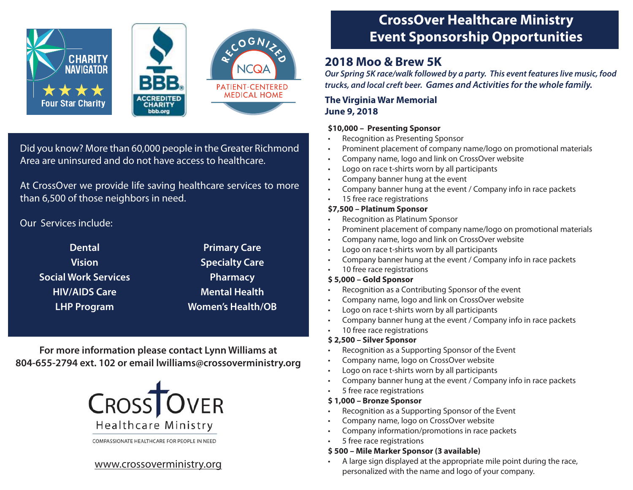# **CrossOver Healthcare Ministry Event Sponsorship Opportunities**

# **2018 Moo & Brew 5K**

*Our Spring 5K race/walk followed by a party. This event features live music, food trucks, and local creft beer. Games and Activities for the whole family.*

### **The Virginia War Memorial June 9, 2018**

### **\$10,000 – Presenting Sponsor**

- Recognition as Presenting Sponsor
- Prominent placement of company name/logo on promotional materials
- Company name, logo and link on CrossOver website
- Logo on race t-shirts worn by all participants
- Company banner hung at the event
- Company banner hung at the event / Company info in race packets
- 15 free race registrations

### **\$7,500 – Platinum Sponsor**

- Recognition as Platinum Sponsor
- Prominent placement of company name/logo on promotional materials
- Company name, logo and link on CrossOver website
- Logo on race t-shirts worn by all participants
- Company banner hung at the event / Company info in race packets
- 10 free race registrations

### **\$ 5,000 – Gold Sponsor**

- Recognition as a Contributing Sponsor of the event
- Company name, logo and link on CrossOver website
- Logo on race t-shirts worn by all participants
- Company banner hung at the event / Company info in race packets
- 10 free race registrations

#### **\$ 2,500 – Silver Sponsor**

- Recognition as a Supporting Sponsor of the Event
- Company name, logo on CrossOver website
- Logo on race t-shirts worn by all participants
- Company banner hung at the event / Company info in race packets
- 5 free race registrations

#### **\$ 1,000 – Bronze Sponsor**

- Recognition as a Supporting Sponsor of the Event
- Company name, logo on CrossOver website
- Company information/promotions in race packets
- 5 free race registrations

#### **\$ 500 – Mile Marker Sponsor (3 available)**

• A large sign displayed at the appropriate mile point during the race, personalized with the name and logo of your company.